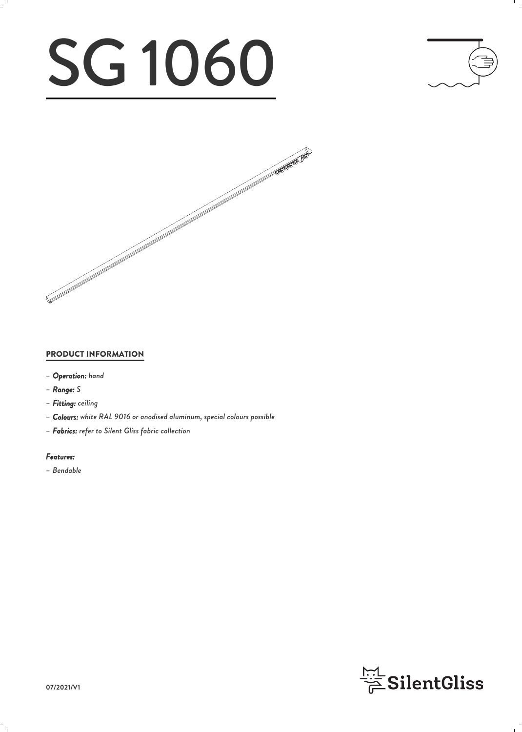# SG 1060





### PRODUCT INFORMATION

- *– Operation: hand*
- *– Range: S*
- *– Fitting: ceiling*
- *– Colours: white RAL 9016 or anodised aluminum, special colours possible*
- *– Fabrics: refer to Silent Gliss fabric collection*

#### *Features:*

*– Bendable*

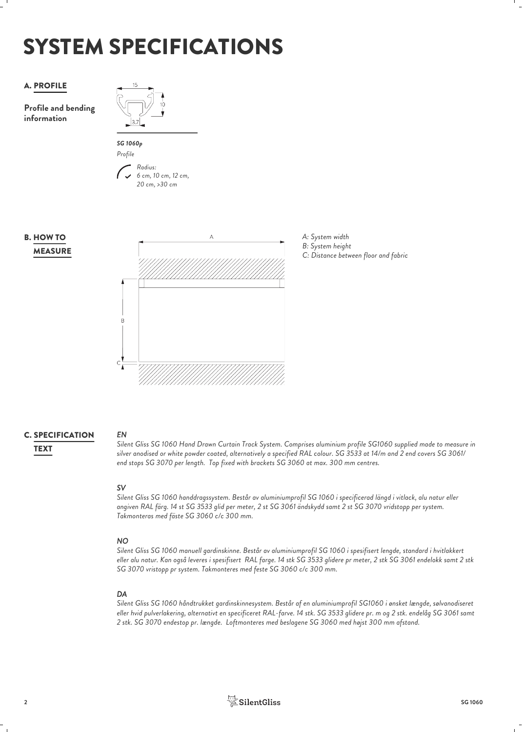# SYSTEM SPECIFICATIONS

## A. PROFILE

**Profile and bending information**





*6 cm, 10 cm, 12 cm, 20 cm, >30 cm*







# **C. SPECIFICATION** EN

*EN Silent Gliss SG 1060 Hand Drawn Curtain Track System. Comprises aluminium profile SG1060 supplied made to measure in silver anodised or white powder coated, alternatively a specified RAL colour. SG 3533 at 14/m and 2 end covers SG 3061/* TEXT *end stops SG 3070 per length. Top fixed with brackets SG 3060 at max. 300 mm centres.*

### *SV*

*Silent Gliss SG 1060 handdragssystem. Består av aluminiumprofil SG 1060 i specificerad längd i vitlack, alu natur eller angiven RAL färg. 14 st SG 3533 glid per meter, 2 st SG 3061 ändskydd samt 2 st SG 3070 vridstopp per system. Takmonteras med fäste SG 3060 c/c 300 mm.*

### *NO*

*Silent Gliss SG 1060 manuell gardinskinne. Består av aluminiumprofil SG 1060 i spesifisert lengde, standard i hvitlakkert eller alu natur. Kan også leveres i spesifisert RAL farge. 14 stk SG 3533 glidere pr meter, 2 stk SG 3061 endelokk samt 2 stk SG 3070 vristopp pr system. Takmonteres med feste SG 3060 c/c 300 mm.*

### *DA*

*Silent Gliss SG 1060 håndtrukket gardinskinnesystem. Består af en aluminiumprofil SG1060 i ønsket længde, sølvanodiseret eller hvid pulverlakering, alternativt en specificeret RAL-farve. 14 stk. SG 3533 glidere pr. m og 2 stk. endelåg SG 3061 samt 2 stk. SG 3070 endestop pr. længde. Loftmonteres med beslagene SG 3060 med højst 300 mm afstand.*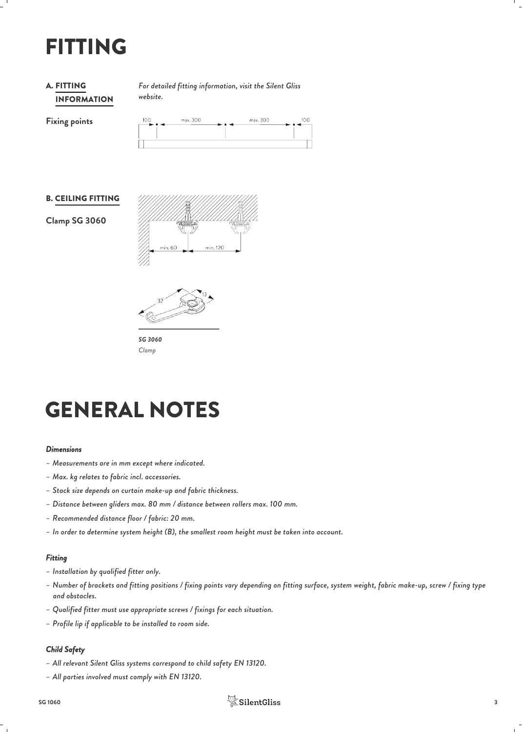# FITTING

### INFORMATION **A. FITTING**

*For detailed fitting information, visit the Silent Gliss* FITTING *website.*

**Fixing points**

| 100<br>ده کا | max. 300 | . | max. 300 | 100 |
|--------------|----------|---|----------|-----|
|              |          |   |          |     |
|              |          |   |          |     |

#### B. CEILING FITTING

**Clamp SG 3060**





*SG 3060 Clamp*

# GENERAL NOTES

#### *Dimensions*

- *– Measurements are in mm except where indicated.*
- *– Max. kg relates to fabric incl. accessories.*
- *– Stack size depends on curtain make-up and fabric thickness.*
- *– Distance between gliders max. 80 mm / distance between rollers max. 100 mm.*
- *– Recommended distance floor / fabric: 20 mm.*
- *– In order to determine system height (B), the smallest room height must be taken into account.*

### *Fitting*

- *– Installation by qualified fitter only.*
- *– Number of brackets and fitting positions / fixing points vary depending on fitting surface, system weight, fabric make-up, screw / fixing type and obstacles.*
- *– Qualified fitter must use appropriate screws / fixings for each situation.*
- *– Profile lip if applicable to be installed to room side.*

### *Child Safety*

- *– All relevant Silent Gliss systems correspond to child safety EN 13120.*
- *– All parties involved must comply with EN 13120.*

# $\frac{151}{25}$ SilentGliss 3